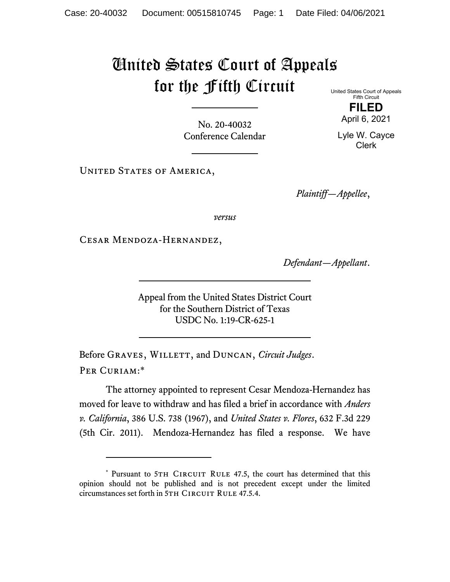## United States Court of Appeals for the Fifth Circuit

United States Court of Appeals Fifth Circuit **FILED** 

April 6, 2021

Lyle W. Cayce Clerk

No. 20-40032 Conference Calendar

UNITED STATES OF AMERICA,

*Plaintiff—Appellee*,

*versus*

Cesar Mendoza-Hernandez,

*Defendant—Appellant*.

Appeal from the United States District Court for the Southern District of Texas USDC No. 1:19-CR-625-1

Before GRAVES, WILLETT, and DUNCAN, *Circuit Judges*. Per Curiam:\*

The attorney appointed to represent Cesar Mendoza-Hernandez has moved for leave to withdraw and has filed a brief in accordance with *Anders v. California*, 386 U.S. 738 (1967), and *United States v. Flores*, 632 F.3d 229 (5th Cir. 2011). Mendoza-Hernandez has filed a response. We have

<sup>\*</sup> Pursuant to 5TH CIRCUIT RULE 47.5, the court has determined that this opinion should not be published and is not precedent except under the limited circumstances set forth in 5TH CIRCUIT RULE 47.5.4.